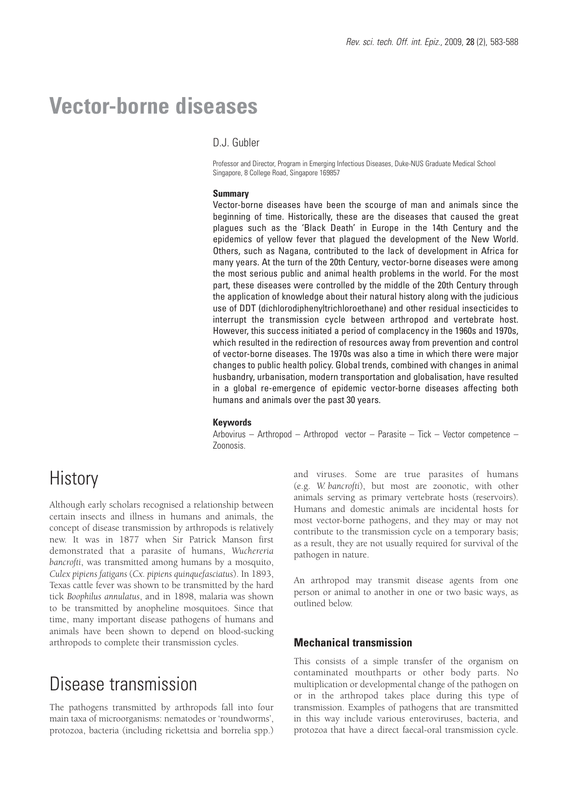# **Vector-borne diseases**

## D.J. Gubler

Professor and Director, Program in Emerging Infectious Diseases, Duke-NUS Graduate Medical School Singapore, 8 College Road, Singapore 169857

#### **Summary**

Vector-borne diseases have been the scourge of man and animals since the beginning of time. Historically, these are the diseases that caused the great plagues such as the 'Black Death' in Europe in the 14th Century and the epidemics of yellow fever that plagued the development of the New World. Others, such as Nagana, contributed to the lack of development in Africa for many years. At the turn of the 20th Century, vector-borne diseases were among the most serious public and animal health problems in the world. For the most part, these diseases were controlled by the middle of the 20th Century through the application of knowledge about their natural history along with the judicious use of DDT (dichlorodiphenyltrichloroethane) and other residual insecticides to interrupt the transmission cycle between arthropod and vertebrate host. However, this success initiated a period of complacency in the 1960s and 1970s, which resulted in the redirection of resources away from prevention and control of vector-borne diseases. The 1970s was also a time in which there were major changes to public health policy. Global trends, combined with changes in animal husbandry, urbanisation, modern transportation and globalisation, have resulted in a global re-emergence of epidemic vector-borne diseases affecting both humans and animals over the past 30 years.

### **Keywords**

Arbovirus – Arthropod – Arthropod vector – Parasite – Tick – Vector competence – Zoonosis.

# **History**

Although early scholars recognised a relationship between certain insects and illness in humans and animals, the concept of disease transmission by arthropods is relatively new. It was in 1877 when Sir Patrick Manson first demonstrated that a parasite of humans, *Wuchereria bancrofti*, was transmitted among humans by a mosquito, *Culex pipiens fatigans* (*Cx. pipiens quinquefasciatus*). In 1893, Texas cattle fever was shown to be transmitted by the hard tick *Boophilus annulatus*, and in 1898, malaria was shown to be transmitted by anopheline mosquitoes. Since that time, many important disease pathogens of humans and animals have been shown to depend on blood-sucking arthropods to complete their transmission cycles.

# Disease transmission

The pathogens transmitted by arthropods fall into four main taxa of microorganisms: nematodes or 'roundworms', protozoa, bacteria (including rickettsia and borrelia spp.) and viruses. Some are true parasites of humans (e.g. *W. bancrofti*), but most are zoonotic, with other animals serving as primary vertebrate hosts (reservoirs). Humans and domestic animals are incidental hosts for most vector-borne pathogens, and they may or may not contribute to the transmission cycle on a temporary basis; as a result, they are not usually required for survival of the pathogen in nature.

An arthropod may transmit disease agents from one person or animal to another in one or two basic ways, as outlined below.

### **Mechanical transmission**

This consists of a simple transfer of the organism on contaminated mouthparts or other body parts. No multiplication or developmental change of the pathogen on or in the arthropod takes place during this type of transmission. Examples of pathogens that are transmitted in this way include various enteroviruses, bacteria, and protozoa that have a direct faecal-oral transmission cycle.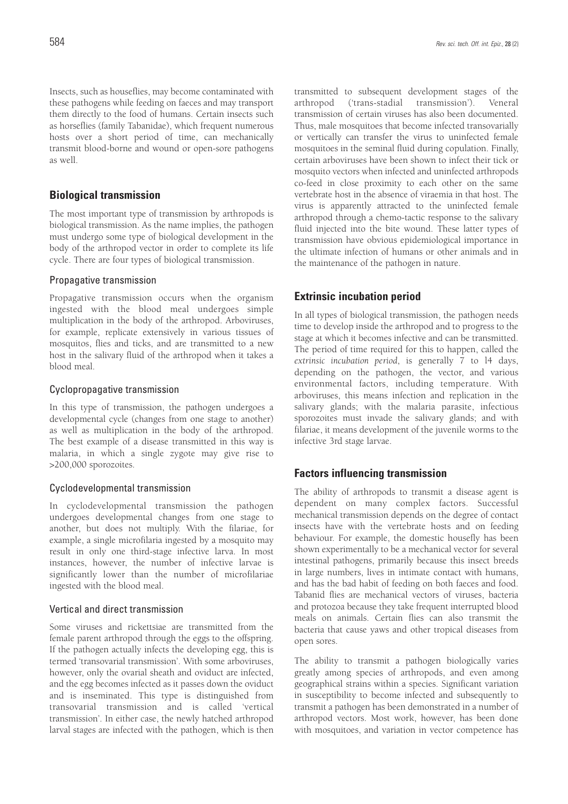Insects, such as houseflies, may become contaminated with these pathogens while feeding on faeces and may transport them directly to the food of humans. Certain insects such as horseflies (family Tabanidae), which frequent numerous hosts over a short period of time, can mechanically transmit blood-borne and wound or open-sore pathogens as well.

## **Biological transmission**

The most important type of transmission by arthropods is biological transmission. As the name implies, the pathogen must undergo some type of biological development in the body of the arthropod vector in order to complete its life cycle. There are four types of biological transmission.

## Propagative transmission

Propagative transmission occurs when the organism ingested with the blood meal undergoes simple multiplication in the body of the arthropod. Arboviruses, for example, replicate extensively in various tissues of mosquitos, flies and ticks, and are transmitted to a new host in the salivary fluid of the arthropod when it takes a blood meal.

## Cyclopropagative transmission

In this type of transmission, the pathogen undergoes a developmental cycle (changes from one stage to another) as well as multiplication in the body of the arthropod. The best example of a disease transmitted in this way is malaria, in which a single zygote may give rise to >200,000 sporozoites.

## Cyclodevelopmental transmission

In cyclodevelopmental transmission the pathogen undergoes developmental changes from one stage to another, but does not multiply. With the filariae, for example, a single microfilaria ingested by a mosquito may result in only one third-stage infective larva. In most instances, however, the number of infective larvae is significantly lower than the number of microfilariae ingested with the blood meal.

## Vertical and direct transmission

Some viruses and rickettsiae are transmitted from the female parent arthropod through the eggs to the offspring. If the pathogen actually infects the developing egg, this is termed 'transovarial transmission'. With some arboviruses, however, only the ovarial sheath and oviduct are infected, and the egg becomes infected as it passes down the oviduct and is inseminated. This type is distinguished from transovarial transmission and is called 'vertical transmission'. In either case, the newly hatched arthropod larval stages are infected with the pathogen, which is then transmitted to subsequent development stages of the arthropod ('trans-stadial transmission'). Veneral transmission of certain viruses has also been documented. Thus, male mosquitoes that become infected transovarially or vertically can transfer the virus to uninfected female mosquitoes in the seminal fluid during copulation. Finally, certain arboviruses have been shown to infect their tick or mosquito vectors when infected and uninfected arthropods co-feed in close proximity to each other on the same vertebrate host in the absence of viraemia in that host. The virus is apparently attracted to the uninfected female arthropod through a chemo-tactic response to the salivary fluid injected into the bite wound. These latter types of transmission have obvious epidemiological importance in the ultimate infection of humans or other animals and in the maintenance of the pathogen in nature.

# **Extrinsic incubation period**

In all types of biological transmission, the pathogen needs time to develop inside the arthropod and to progress to the stage at which it becomes infective and can be transmitted. The period of time required for this to happen, called the *extrinsic incubation period*, is generally 7 to l4 days, depending on the pathogen, the vector, and various environmental factors, including temperature. With arboviruses, this means infection and replication in the salivary glands; with the malaria parasite, infectious sporozoites must invade the salivary glands; and with filariae, it means development of the juvenile worms to the infective 3rd stage larvae.

# **Factors influencing transmission**

The ability of arthropods to transmit a disease agent is dependent on many complex factors. Successful mechanical transmission depends on the degree of contact insects have with the vertebrate hosts and on feeding behaviour. For example, the domestic housefly has been shown experimentally to be a mechanical vector for several intestinal pathogens, primarily because this insect breeds in large numbers, lives in intimate contact with humans, and has the bad habit of feeding on both faeces and food. Tabanid flies are mechanical vectors of viruses, bacteria and protozoa because they take frequent interrupted blood meals on animals. Certain flies can also transmit the bacteria that cause yaws and other tropical diseases from open sores.

The ability to transmit a pathogen biologically varies greatly among species of arthropods, and even among geographical strains within a species. Significant variation in susceptibility to become infected and subsequently to transmit a pathogen has been demonstrated in a number of arthropod vectors. Most work, however, has been done with mosquitoes, and variation in vector competence has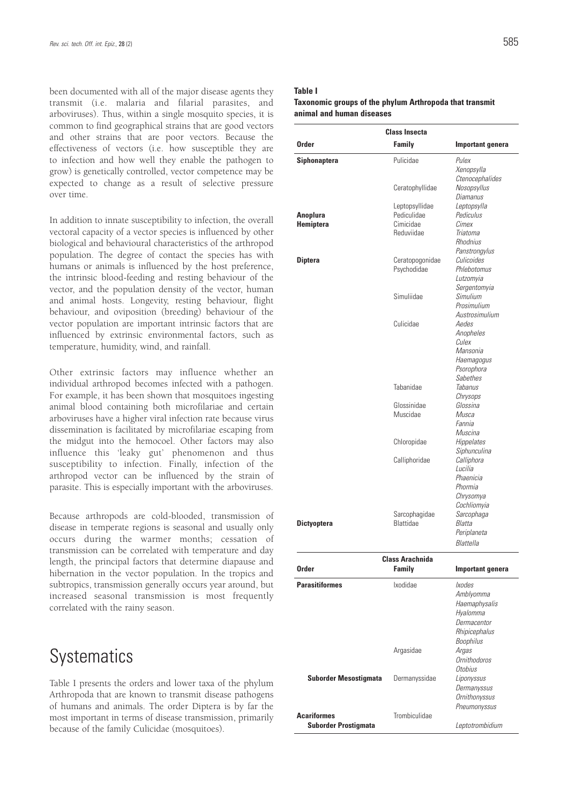been documented with all of the major disease agents they transmit (i.e. malaria and filarial parasites, and arboviruses). Thus, within a single mosquito species, it is common to find geographical strains that are good vectors and other strains that are poor vectors. Because the effectiveness of vectors (i.e. how susceptible they are to infection and how well they enable the pathogen to grow) is genetically controlled, vector competence may be expected to change as a result of selective pressure over time.

In addition to innate susceptibility to infection, the overall vectoral capacity of a vector species is influenced by other biological and behavioural characteristics of the arthropod population. The degree of contact the species has with humans or animals is influenced by the host preference, the intrinsic blood-feeding and resting behaviour of the vector, and the population density of the vector, human and animal hosts. Longevity, resting behaviour, flight behaviour, and oviposition (breeding) behaviour of the vector population are important intrinsic factors that are influenced by extrinsic environmental factors, such as temperature, humidity, wind, and rainfall.

Other extrinsic factors may influence whether an individual arthropod becomes infected with a pathogen. For example, it has been shown that mosquitoes ingesting animal blood containing both microfilariae and certain arboviruses have a higher viral infection rate because virus dissemination is facilitated by microfilariae escaping from the midgut into the hemocoel. Other factors may also influence this 'leaky gut' phenomenon and thus susceptibility to infection. Finally, infection of the arthropod vector can be influenced by the strain of parasite. This is especially important with the arboviruses.

Because arthropods are cold-blooded, transmission of disease in temperate regions is seasonal and usually only occurs during the warmer months; cessation of transmission can be correlated with temperature and day length, the principal factors that determine diapause and hibernation in the vector population. In the tropics and subtropics, transmission generally occurs year around, but increased seasonal transmission is most frequently correlated with the rainy season.

# **Systematics**

Table I presents the orders and lower taxa of the phylum Arthropoda that are known to transmit disease pathogens of humans and animals. The order Diptera is by far the most important in terms of disease transmission, primarily because of the family Culicidae (mosquitoes).

### **Table I**

### **Taxonomic groups of the phylum Arthropoda that transmit animal and human diseases**

| <b>Class Insecta</b>         |                               |                                            |  |  |  |  |
|------------------------------|-------------------------------|--------------------------------------------|--|--|--|--|
| <b>Order</b>                 | Family                        | Important genera                           |  |  |  |  |
| <b>Siphonaptera</b>          | Pulicidae                     | Pulex<br>Xenopsylla                        |  |  |  |  |
|                              | Ceratophyllidae               | Ctenocephalides<br>Nosopsyllus<br>Diamanus |  |  |  |  |
| <b>Anoplura</b>              | Leptopsyllidae<br>Pediculidae | Leptopsylla<br>Pediculus                   |  |  |  |  |
| Hemiptera                    | Cimicidae                     | Cimex                                      |  |  |  |  |
|                              | Reduviidae                    | Triatoma<br>Rhodnius<br>Panstrongylus      |  |  |  |  |
| <b>Diptera</b>               | Ceratopogonidae               | Culicoides                                 |  |  |  |  |
|                              | Psychodidae                   | Phlebotomus<br>Lutzomyia                   |  |  |  |  |
|                              |                               | Sergentomyia                               |  |  |  |  |
|                              | Simuliidae                    | Simulium<br>Prosimulium                    |  |  |  |  |
|                              |                               | Austrosimulium                             |  |  |  |  |
|                              | Culicidae                     | Aedes                                      |  |  |  |  |
|                              |                               | Anopheles                                  |  |  |  |  |
|                              |                               | Culex                                      |  |  |  |  |
|                              |                               | Mansonia                                   |  |  |  |  |
|                              |                               | Haemagogus<br>Psorophora                   |  |  |  |  |
|                              |                               | Sabethes                                   |  |  |  |  |
|                              | Tabanidae                     | Tabanus                                    |  |  |  |  |
|                              |                               | Chrysops                                   |  |  |  |  |
|                              | Glossinidae                   | Glossina                                   |  |  |  |  |
|                              | Muscidae                      | Musca<br>Fannia                            |  |  |  |  |
|                              |                               | Muscina                                    |  |  |  |  |
|                              | Chloropidae                   | Hippelates                                 |  |  |  |  |
|                              |                               | Siphunculina                               |  |  |  |  |
|                              | Calliphoridae                 | Calliphora                                 |  |  |  |  |
|                              |                               | Lucilia                                    |  |  |  |  |
|                              |                               | Phaenicia<br>Phormia                       |  |  |  |  |
|                              |                               | Chrysomya                                  |  |  |  |  |
|                              |                               | Cochliomyia                                |  |  |  |  |
|                              | Sarcophagidae                 | Sarcophaga                                 |  |  |  |  |
| <b>Dictyoptera</b>           | Blattidae                     | <i>Blatta</i>                              |  |  |  |  |
|                              |                               | Periplaneta<br>Blattella                   |  |  |  |  |
|                              |                               |                                            |  |  |  |  |
| <b>Order</b>                 | <b>Class Arachnida</b>        |                                            |  |  |  |  |
|                              | <b>Family</b>                 | Important genera                           |  |  |  |  |
| <b>Parasitiformes</b>        | Ixodidae                      | <i>lxodes</i>                              |  |  |  |  |
|                              |                               | Amblyomma                                  |  |  |  |  |
|                              |                               | Haemaphysalis<br>Hyalomma                  |  |  |  |  |
|                              |                               | Dermacentor                                |  |  |  |  |
|                              |                               | Rhipicephalus                              |  |  |  |  |
|                              |                               | <b>Boophilus</b>                           |  |  |  |  |
|                              | Argasidae                     | Argas                                      |  |  |  |  |
|                              |                               | <b>Ornithodoros</b>                        |  |  |  |  |
|                              |                               | Otobius                                    |  |  |  |  |
| <b>Suborder Mesostigmata</b> | Dermanyssidae                 | Liponyssus<br>Dermanyssus                  |  |  |  |  |
|                              |                               | <b>Ornithonyssus</b>                       |  |  |  |  |
|                              |                               | Pneumonyssus                               |  |  |  |  |
| <b>Acariformes</b>           | Trombiculidae                 |                                            |  |  |  |  |
| <b>Suborder Prostigmata</b>  |                               | Leptotrombidium                            |  |  |  |  |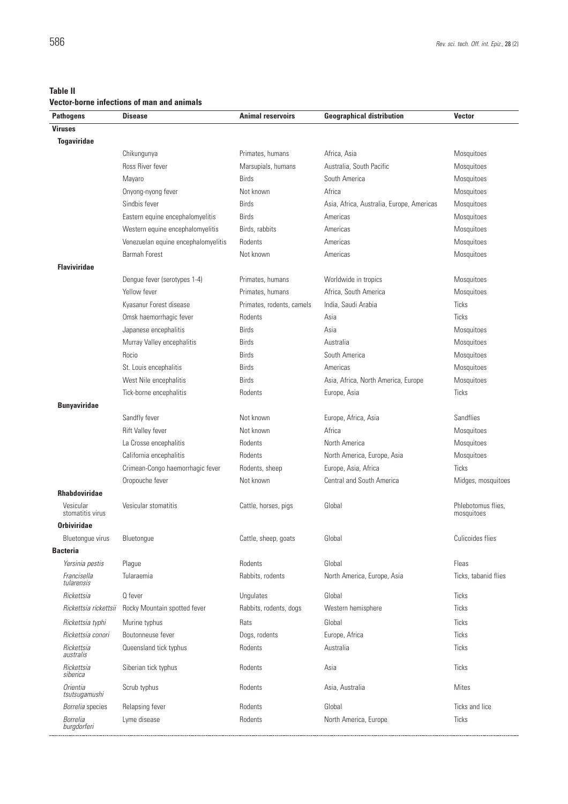L

**Vector-borne infections of man and animals**

| <b>Pathogens</b>              | <b>Disease</b>                      | <b>Animal reservoirs</b>  | <b>Geographical distribution</b>          | <b>Vector</b>                    |
|-------------------------------|-------------------------------------|---------------------------|-------------------------------------------|----------------------------------|
| <b>Viruses</b>                |                                     |                           |                                           |                                  |
| <b>Togaviridae</b>            |                                     |                           |                                           |                                  |
|                               | Chikungunya                         | Primates, humans          | Africa, Asia                              | Mosquitoes                       |
|                               | Ross River fever                    | Marsupials, humans        | Australia, South Pacific                  | Mosquitoes                       |
|                               | Mayaro                              | <b>Birds</b>              | South America                             | Mosquitoes                       |
|                               | Onyong-nyong fever                  | Not known                 | Africa                                    | Mosquitoes                       |
|                               | Sindbis fever                       | <b>Birds</b>              | Asia, Africa, Australia, Europe, Americas | Mosquitoes                       |
|                               | Eastern equine encephalomyelitis    | <b>Birds</b>              | Americas                                  | Mosquitoes                       |
|                               | Western equine encephalomyelitis    | Birds, rabbits            | Americas                                  | Mosquitoes                       |
|                               | Venezuelan equine encephalomyelitis | Rodents                   | Americas                                  | Mosquitoes                       |
|                               | Barmah Forest                       | Not known                 | Americas                                  | Mosquitoes                       |
| <b>Flaviviridae</b>           |                                     |                           |                                           |                                  |
|                               | Dengue fever (serotypes 1-4)        | Primates, humans          | Worldwide in tropics                      | Mosquitoes                       |
|                               | Yellow fever                        | Primates, humans          | Africa, South America                     | Mosquitoes                       |
|                               | Kyasanur Forest disease             | Primates, rodents, camels | India, Saudi Arabia                       | Ticks                            |
|                               | Omsk haemorrhagic fever             | Rodents                   | Asia                                      | Ticks                            |
|                               | Japanese encephalitis               | <b>Birds</b>              | Asia                                      | Mosquitoes                       |
|                               | Murray Valley encephalitis          | <b>Birds</b>              | Australia                                 | Mosquitoes                       |
|                               | Rocio                               | <b>Birds</b>              | South America                             | Mosquitoes                       |
|                               | St. Louis encephalitis              | <b>Birds</b>              | Americas                                  | Mosquitoes                       |
|                               | West Nile encephalitis              | <b>Birds</b>              | Asia, Africa, North America, Europe       | Mosquitoes                       |
|                               | Tick-borne encephalitis             | Rodents                   | Europe, Asia                              | Ticks                            |
| <b>Bunyaviridae</b>           |                                     |                           |                                           |                                  |
|                               | Sandfly fever                       | Not known                 | Europe, Africa, Asia                      | Sandflies                        |
|                               | Rift Valley fever                   | Not known                 | Africa                                    | Mosquitoes                       |
|                               | La Crosse encephalitis              | Rodents                   | North America                             | Mosquitoes                       |
|                               | California encephalitis             | Rodents                   | North America, Europe, Asia               | Mosquitoes                       |
|                               | Crimean-Congo haemorrhagic fever    | Rodents, sheep            | Europe, Asia, Africa                      | Ticks                            |
|                               | Oropouche fever                     | Not known                 | <b>Central and South America</b>          | Midges, mosquitoes               |
| <b>Rhabdoviridae</b>          |                                     |                           |                                           |                                  |
| Vesicular<br>stomatitis virus | Vesicular stomatitis                | Cattle, horses, pigs      | Global                                    | Phlebotomus flies,<br>mosquitoes |
| <b>Orbiviridae</b>            |                                     |                           |                                           |                                  |
| Bluetongue virus              | Bluetongue                          | Cattle, sheep, goats      | Global                                    | Culicoides flies                 |
| <b>Bacteria</b>               |                                     |                           |                                           |                                  |
| Yersinia pestis               | Plague                              | Rodents                   | Global                                    | Fleas                            |
| Francisella<br>tularensis     | Tularaemia                          | Rabbits, rodents          | North America, Europe, Asia               | Ticks, tabanid flies             |
| Rickettsia                    | Q fever                             | Ungulates                 | Global                                    | Ticks                            |
| Rickettsia rickettsii         | Rocky Mountain spotted fever        | Rabbits, rodents, dogs    | Western hemisphere                        | Ticks                            |
| Rickettsia typhi              | Murine typhus                       | Rats                      | Global                                    | Ticks                            |
| Rickettsia conori             | Boutonneuse fever                   | Dogs, rodents             | Europe, Africa                            | Ticks                            |
| Rickettsia<br>australis       | Queensland tick typhus              | Rodents                   | Australia                                 | Ticks                            |
| Rickettsia<br>siberica        | Siberian tick typhus                | Rodents                   | Asia                                      | Ticks                            |
| Orientia<br>tsutsugamushi     | Scrub typhus                        | Rodents                   | Asia, Australia                           | <b>Mites</b>                     |
| Borrelia species              | Relapsing fever                     | Rodents                   | Global                                    | Ticks and lice                   |
| Borrelia<br>burgdorferi       | Lyme disease                        | Rodents                   | North America, Europe                     | Ticks                            |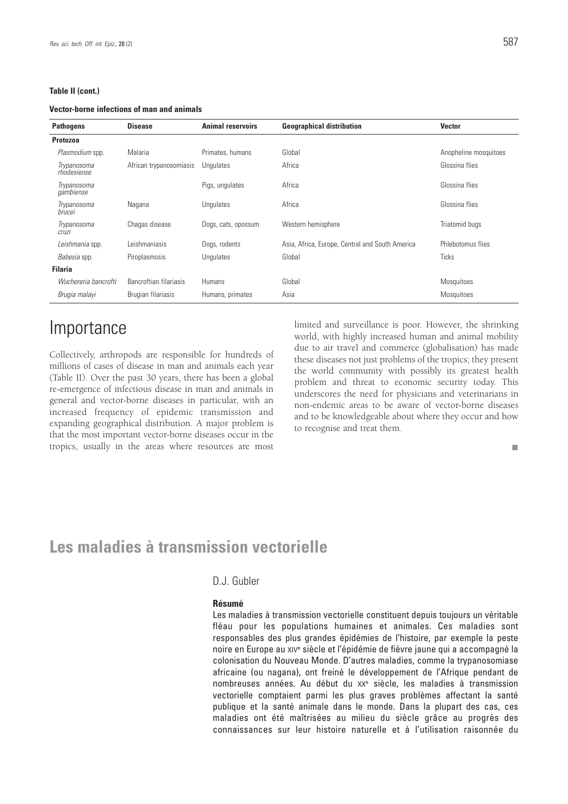### **Table II (cont.)**

#### **Vector-borne infections of man and animals**

| <b>Pathogens</b>            | <b>Disease</b>          | <b>Animal reservoirs</b> | <b>Geographical distribution</b>                | <b>Vector</b>         |
|-----------------------------|-------------------------|--------------------------|-------------------------------------------------|-----------------------|
| <b>Protozoa</b>             |                         |                          |                                                 |                       |
| Plasmodium spp.             | Malaria                 | Primates, humans         | Global                                          | Anopheline mosquitoes |
| Trypanosoma<br>rhodesiense  | African trypanosomiasis | Unqulates                | Africa                                          | Glossina flies        |
| Trypanosoma<br>gambiense    |                         | Pigs, ungulates          | Africa                                          | Glossina flies        |
| Trypanosoma<br>brucei       | Nagana                  | Ungulates                | Africa                                          | Glossina flies        |
| Trypanosoma<br><b>Cruzi</b> | Chagas disease          | Dogs, cats, opossum      | Western hemisphere                              | Triatomid bugs        |
| Leishmania spp.             | Leishmaniasis           | Dogs, rodents            | Asia, Africa, Europe, Central and South America | Phlebotomus flies     |
| Babesia spp.                | Piroplasmosis           | Unqulates                | Global                                          | <b>Ticks</b>          |
| <b>Filaria</b>              |                         |                          |                                                 |                       |
| Wuchereria bancrofti        | Bancroftian filariasis  | Humans                   | Global                                          | Mosquitoes            |
| Brugia malayi               | Brugian filariasis      | Humans, primates         | Asia                                            | <b>Mosquitoes</b>     |

# **Importance**

Collectively, arthropods are responsible for hundreds of millions of cases of disease in man and animals each year (Table II). Over the past 30 years, there has been a global re-emergence of infectious disease in man and animals in general and vector-borne diseases in particular, with an increased frequency of epidemic transmission and expanding geographical distribution. A major problem is that the most important vector-borne diseases occur in the tropics, usually in the areas where resources are most limited and surveillance is poor. However, the shrinking world, with highly increased human and animal mobility due to air travel and commerce (globalisation) has made these diseases not just problems of the tropics; they present the world community with possibly its greatest health problem and threat to economic security today. This underscores the need for physicians and veterinarians in non-endemic areas to be aware of vector-borne diseases and to be knowledgeable about where they occur and how to recognise and treat them.

m.

# **Les maladies à transmission vectorielle**

## D.J. Gubler

### **Résumé**

Les maladies à transmission vectorielle constituent depuis toujours un véritable fléau pour les populations humaines et animales. Ces maladies sont responsables des plus grandes épidémies de l'histoire, par exemple la peste noire en Europe au XIVe siècle et l'épidémie de fièvre jaune qui a accompagné la colonisation du Nouveau Monde. D'autres maladies, comme la trypanosomiase africaine (ou nagana), ont freiné le développement de l'Afrique pendant de nombreuses années. Au début du XX<sup>e</sup> siècle, les maladies à transmission vectorielle comptaient parmi les plus graves problèmes affectant la santé publique et la santé animale dans le monde. Dans la plupart des cas, ces maladies ont été maîtrisées au milieu du siècle grâce au progrès des connaissances sur leur histoire naturelle et à l'utilisation raisonnée du